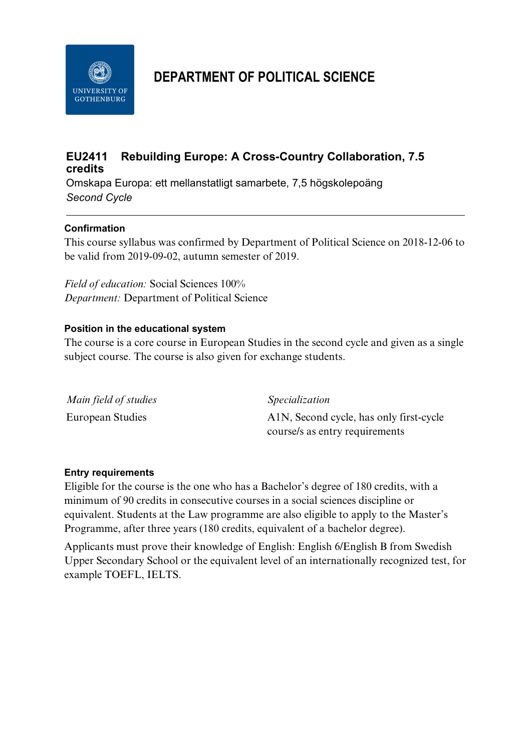

# **DEPARTMENT OF POLITICAL SCIENCE**

# **EU2411 Rebuilding Europe: A Cross-Country Collaboration, 7.5 credits**

Omskapa Europa: ett mellanstatligt samarbete, 7,5 högskolepoäng *Second Cycle*

## **Confirmation**

This course syllabus was confirmed by Department of Political Science on 2018-12-06 to be valid from 2019-09-02, autumn semester of 2019.

*Field of education:* Social Sciences 100% *Department:* Department of Political Science

### **Position in the educational system**

The course is a core course in European Studies in the second cycle and given as a single subject course. The course is also given for exchange students.

| Main field of studies | Specialization                          |
|-----------------------|-----------------------------------------|
| European Studies      | A1N, Second cycle, has only first-cycle |
|                       | course/s as entry requirements          |

#### **Entry requirements**

Eligible for the course is the one who has a Bachelor's degree of 180 credits, with a minimum of 90 credits in consecutive courses in a social sciences discipline or equivalent. Students at the Law programme are also eligible to apply to the Master's Programme, after three years (180 credits, equivalent of a bachelor degree).

Applicants must prove their knowledge of English: English 6/English B from Swedish Upper Secondary School or the equivalent level of an internationally recognized test, for example TOEFL, IELTS.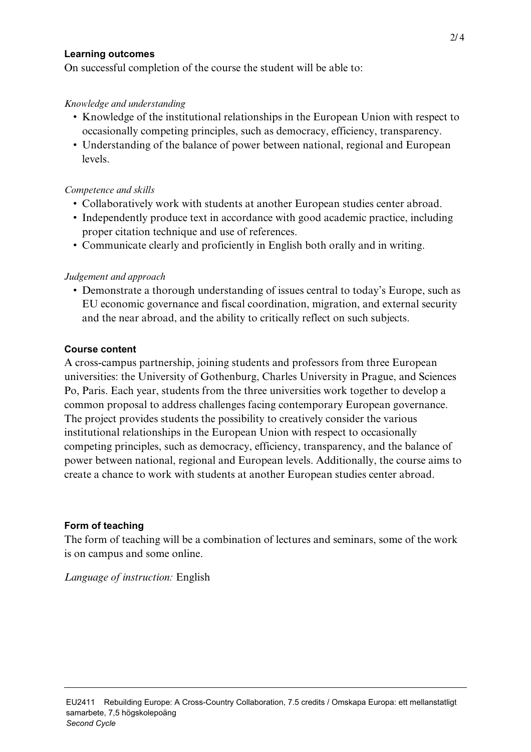#### **Learning outcomes**

On successful completion of the course the student will be able to:

#### *Knowledge and understanding*

- Knowledge of the institutional relationships in the European Union with respect to occasionally competing principles, such as democracy, efficiency, transparency.
- Understanding of the balance of power between national, regional and European levels.

#### *Competence and skills*

- Collaboratively work with students at another European studies center abroad.
- Independently produce text in accordance with good academic practice, including proper citation technique and use of references.
- Communicate clearly and proficiently in English both orally and in writing.

#### *Judgement and approach*

• Demonstrate a thorough understanding of issues central to today's Europe, such as EU economic governance and fiscal coordination, migration, and external security and the near abroad, and the ability to critically reflect on such subjects.

#### **Course content**

A cross-campus partnership, joining students and professors from three European universities: the University of Gothenburg, Charles University in Prague, and Sciences Po, Paris. Each year, students from the three universities work together to develop a common proposal to address challenges facing contemporary European governance. The project provides students the possibility to creatively consider the various institutional relationships in the European Union with respect to occasionally competing principles, such as democracy, efficiency, transparency, and the balance of power between national, regional and European levels. Additionally, the course aims to create a chance to work with students at another European studies center abroad.

#### **Form of teaching**

The form of teaching will be a combination of lectures and seminars, some of the work is on campus and some online.

*Language of instruction:* English